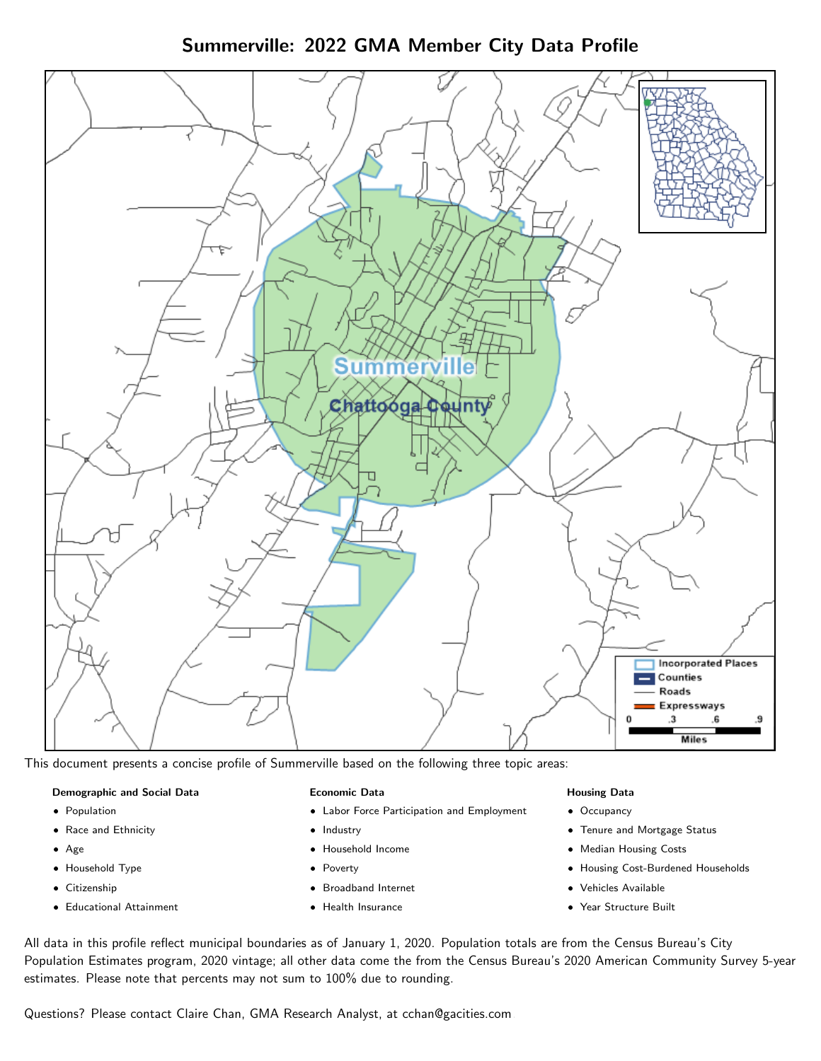Summerville: 2022 GMA Member City Data Profile



This document presents a concise profile of Summerville based on the following three topic areas:

### Demographic and Social Data

- **•** Population
- Race and Ethnicity
- Age
- Household Type
- **Citizenship**
- Educational Attainment

### Economic Data

- Labor Force Participation and Employment
- Industry
- Household Income
- Poverty
- Broadband Internet
- Health Insurance

### Housing Data

- Occupancy
- Tenure and Mortgage Status
- Median Housing Costs
- Housing Cost-Burdened Households
- Vehicles Available
- Year Structure Built

All data in this profile reflect municipal boundaries as of January 1, 2020. Population totals are from the Census Bureau's City Population Estimates program, 2020 vintage; all other data come the from the Census Bureau's 2020 American Community Survey 5-year estimates. Please note that percents may not sum to 100% due to rounding.

Questions? Please contact Claire Chan, GMA Research Analyst, at [cchan@gacities.com.](mailto:cchan@gacities.com)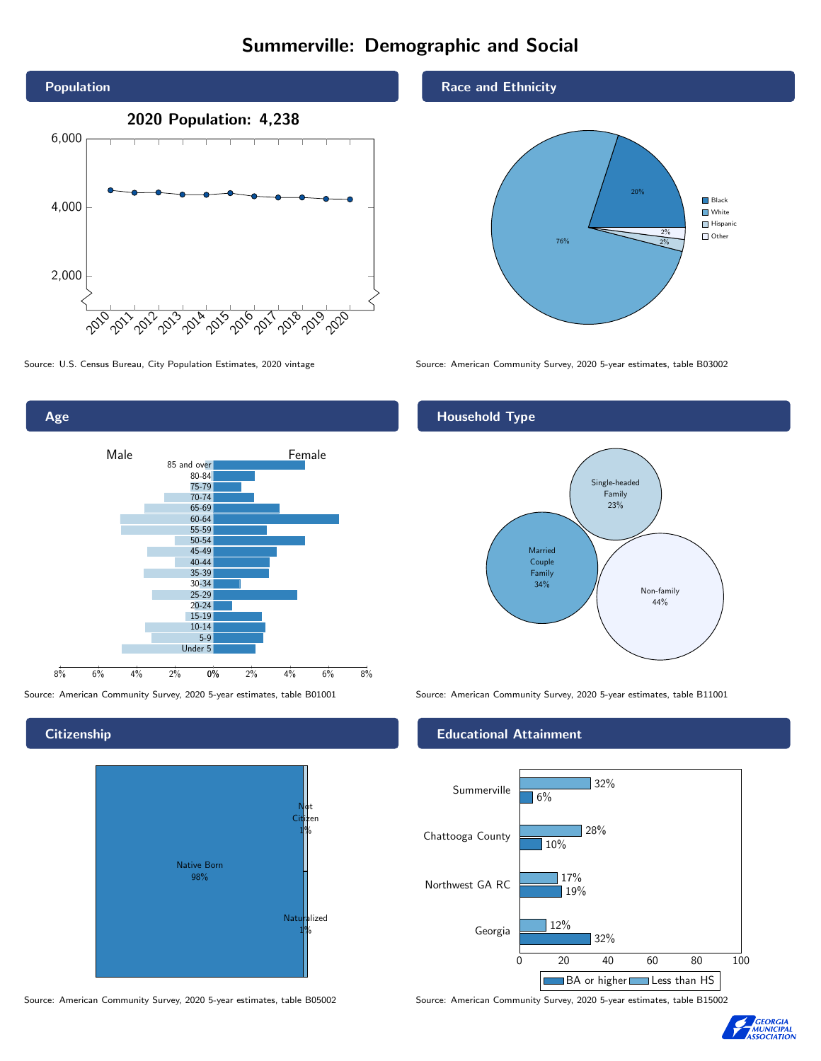# Summerville: Demographic and Social





**Citizenship** 



Source: American Community Survey, 2020 5-year estimates, table B05002 Source: American Community Survey, 2020 5-year estimates, table B15002

Race and Ethnicity



Source: U.S. Census Bureau, City Population Estimates, 2020 vintage Source: American Community Survey, 2020 5-year estimates, table B03002

## Household Type



Source: American Community Survey, 2020 5-year estimates, table B01001 Source: American Community Survey, 2020 5-year estimates, table B11001

## Educational Attainment



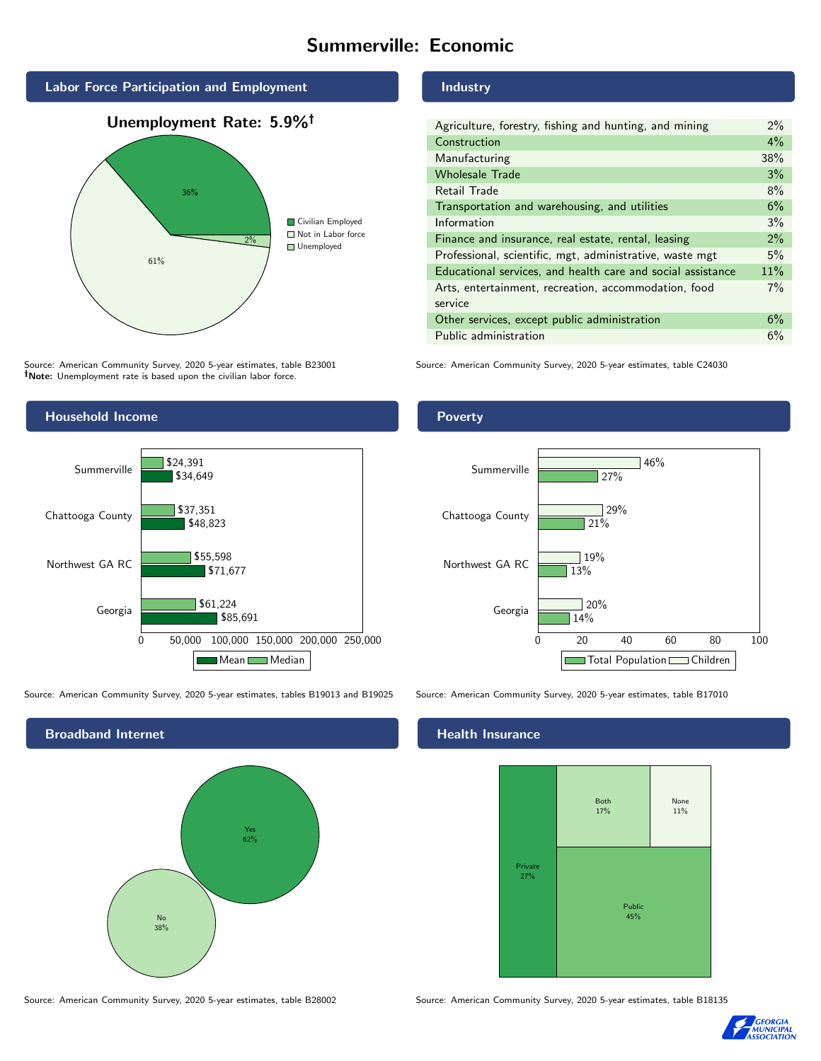# Summerville: Economic







Source: American Community Survey, 2020 5-year estimates, table B23001 Note: Unemployment rate is based upon the civilian labor force.

Industry

| Agriculture, forestry, fishing and hunting, and mining      | $2\%$ |
|-------------------------------------------------------------|-------|
| Construction                                                | 4%    |
| Manufacturing                                               | 38%   |
| <b>Wholesale Trade</b>                                      | 3%    |
| Retail Trade                                                | 8%    |
| Transportation and warehousing, and utilities               | 6%    |
| Information                                                 | 3%    |
| Finance and insurance, real estate, rental, leasing         | $2\%$ |
| Professional, scientific, mgt, administrative, waste mgt    | $5\%$ |
| Educational services, and health care and social assistance | 11%   |
| Arts, entertainment, recreation, accommodation, food        | $7\%$ |
| service                                                     |       |
| Other services, except public administration                | 6%    |
| Public administration                                       | 6%    |

Source: American Community Survey, 2020 5-year estimates, table C24030



Source: American Community Survey, 2020 5-year estimates, tables B19013 and B19025 Source: American Community Survey, 2020 5-year estimates, table B17010

Broadband Internet No 38% Yes 62%

Poverty



# **Health Insurance**



Source: American Community Survey, 2020 5-year estimates, table B28002 Source: American Community Survey, 2020 5-year estimates, table B18135